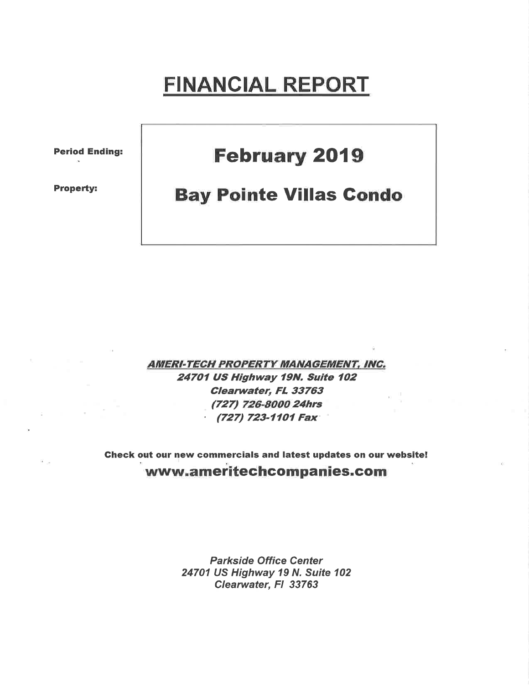# FINANCIAL REPORT

Period Ending:

Property:

## **February 2019**

### **Bay Pointe Villas Condo**

AMERI-TECH PROPERTY MANAGEMENT, INC. 24701 US Highway 19N. Suite 102 Glearwater, FL 33763 (727) 726-8000 24hrs  $(727)$  723-1101 Fax

Gheck out our new commercials and Iatest updates on our website! www.ameritechcompanies.com

> Parkside Office Center 24701 US Highway 19 N. Suite 102 Clearwater, FI 33763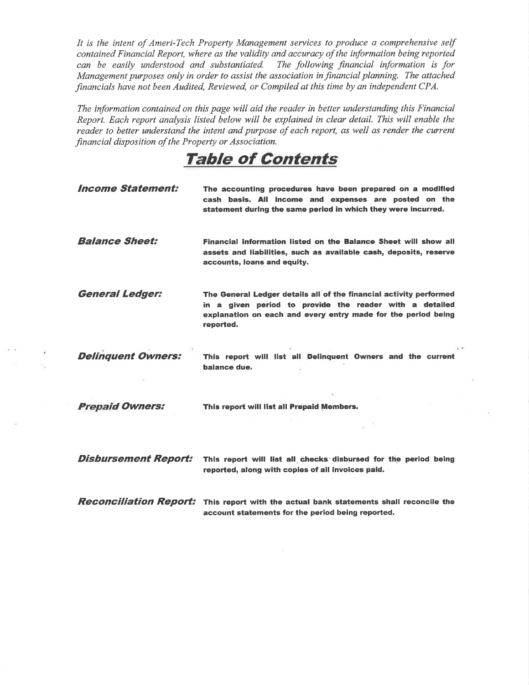It is the intent of Ameri-Tech Property Management services to produce a comprehensive self contained Financial Report, where as the validity and accuracy of the information being reported can be easily understood and substantiated. The following financial information is for Management purposes only in order to assist the association in financial planning. The attached financials have not been Audited, Reviewed, or Compiled at this time by an independent CPA.

The information contained on this page will aid the reader in better understanding this Financial Report. Each report analysis listed below will be explained in clear detail. This will enable the reader to better understand the intent and purpose of each report, as well as render the current financial disposition of the Property or Association.

TaþIe of Contents

| <b>Income Statement:</b>    | The accounting procedures have been prepared on a modified<br>cash basis. All income and expenses are posted on the<br>statement during the same period in which they were incurred.                        |
|-----------------------------|-------------------------------------------------------------------------------------------------------------------------------------------------------------------------------------------------------------|
| <b>Balance Sheet:</b>       | Financial information listed on the Balance Sheet will show all<br>assets and liabilities, such as available cash, deposits, reserve<br>accounts, loans and equity.                                         |
| <b>General Ledger:</b>      | The General Ledger details all of the financial activity performed<br>in a given period to provide the reader with a detailed<br>explanation on each and every entry made for the period being<br>reported. |
| <b>Delinquent Owners:</b>   | This report will list all Delinguent Owners and the current<br>balance due.                                                                                                                                 |
| <b>Prepaid Owners:</b>      | This report will list all Prepaid Members.                                                                                                                                                                  |
| <b>Disbursement Report:</b> | This report will list all checks disbursed for the period being<br>reported, along with copies of all invoices paid.                                                                                        |
|                             | <b>Reconciliation Report:</b> This report with the actual bank statements shall reconcile the<br>account statements for the period being reported.                                                          |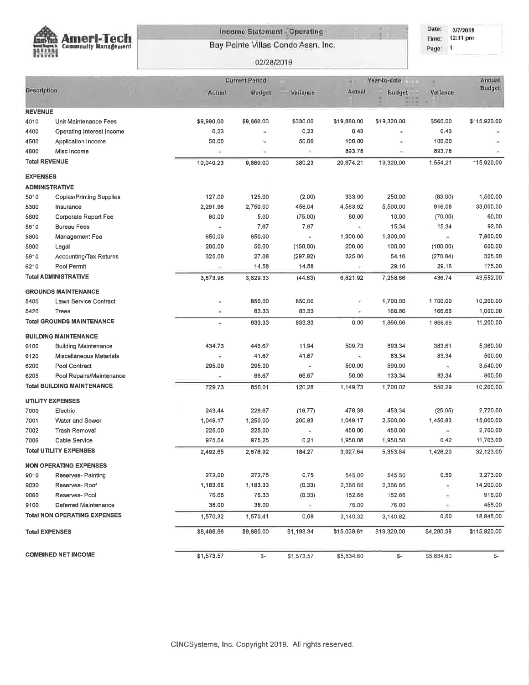

#### **Income Statement - Operating**

Bay Pointe Villas Condo Assn, Inc.

#### Date: 3/7/2019 Time: 12:11 pm Page: 1

#### 02/28/2019

|                       |                                     |                          | <b>Current Period</b> |            | Year-to-date             | Annual        |               |               |
|-----------------------|-------------------------------------|--------------------------|-----------------------|------------|--------------------------|---------------|---------------|---------------|
| Description:          |                                     | Actual                   | Budget                | Variance   | Actual                   | <b>Budget</b> | Variance      | <b>Budget</b> |
| <b>REVENUE</b>        |                                     |                          |                       |            |                          |               |               |               |
| 4010                  | Unit Maintenance Fees               | \$9,990.00               | \$9,660.00            | \$330,00   | \$19,880.00              | \$19,320.00   | \$560,00      | \$115,920.00  |
| 4400                  | Operating Interest Income           | 0.23                     | ×,                    | 0.23       | 0,43                     | $\rightarrow$ | 0.43          |               |
| 4500                  | Application Income                  | 50.00                    | ÷,                    | 50.00      | 100.00                   | $\sim$        | 100.00        |               |
| 4800                  | Misc Income                         | ¥,                       | ×,                    | è,         | 893,78                   | $\rightarrow$ | 893.78        |               |
| <b>Total REVENUE</b>  |                                     | 10,040,23                | 9,660,00              | 380,23     | 20,874.21                | 19,320.00     | 1,554.21      | 115,920,00    |
| <b>EXPENSES</b>       |                                     |                          |                       |            |                          |               |               |               |
|                       | <b>ADMINISTRATIVE</b>               |                          |                       |            |                          |               |               |               |
| 5010                  | Copies/Printing Supplies            | 127.00                   | 125.00                | (2.00)     | 333.00                   | 250.00        | (83.00)       | 1,500.00      |
| 5300                  | Insurance                           | 2,291.96                 | 2,750.00              | 458.04     | 4,583,92                 | 5,500.00      | 916.08        | 33,000.00     |
| 5600                  | Corporate Report Fee                | 80.00                    | 5.00                  | (75.00)    | 60.00                    | 10.00         | (70.00)       | 60.00         |
| 5610                  | <b>Bureau Fees</b>                  | $\overline{\phantom{a}}$ | 7.67                  | 7.67       | $\overline{\gamma}$ )    | 15.34         | 15.34         | 92.00         |
| 5800                  | Management Fee                      | 650,00                   | 650.00                | ٠.         | 1,300.00                 | 1,300.00      | 29            | 7,800.00      |
| 5900                  | Legal                               | 200,00                   | 50.00                 | (150.00)   | 200,00                   | 100.00        | (100.00)      | 600.00        |
| 5910                  | Accounting/Tax Returns              | 325.00                   | 27.08                 | (297.92)   | 325,00                   | 54.16         | (270.84)      | 325.00        |
| 6210                  | Pool Permit                         |                          | 14.58                 | 14.58      | $\overline{a}$           | 29.16         | 29.16         | 175.00        |
|                       | <b>Total ADMINISTRATIVE</b>         | 3,673.96                 | 3,629.33              | (44.63)    | 6,821.92                 | 7,258.66      | 436.74        | 43,552.00     |
|                       | <b>GROUNDS MAINTENANCE</b>          |                          |                       |            |                          |               |               |               |
| 5400                  | Lawn Service Contract               | ×                        | 650.00                | 850.00     | ë.                       | 1,700.00      | 1,700.00      | 10,200.00     |
| 5420                  | Trees                               | ×                        | 83,33                 | 83.33      | ä.                       | 166.66        | 166.66        | 1,000.00      |
|                       | <b>Total GROUNDS MAINTENANCE</b>    | ×,                       | 933.33                | 933.33     | 0.00                     | 1,866.66      | 1,866,66      | 11,200.00     |
|                       | <b>BUILDING MAINTENANCE</b>         |                          |                       |            |                          |               |               |               |
| 6100                  | <b>Building Maintenance</b>         | 434.73                   | 446.67                | 11.94      | 509.73                   | 893.34        | 383,61        | 5,360.00      |
| 6120                  | Miscellaneous Materials             | r.                       | 41.67                 | 41.67      | $\overline{\phantom{a}}$ | 83.34         | 83.34         | 500.00        |
| 6200                  | Pool Contract                       | 295.00                   | 295.00                | ÷,         | 590.00                   | 590.00        | 21            | 3,540.00      |
| 6205                  | Pool Repairs/Maintenance            | ×                        | 66.67                 | 66.67      | 50.00                    | 133.34        | 83.34         | 800.00        |
|                       | <b>Total BUILDING MAINTENANCE</b>   | 729.73                   | 850.01                | 120.28     | 1,149.73                 | 1,700.02      | 550.29        | 10,200.00     |
|                       | <b>UTILITY EXPENSES</b>             |                          |                       |            |                          |               |               |               |
| 7000                  | Electric                            | 243,44                   | 226.67                | (16.77)    | 478.39                   | 453.34        | (25.05)       | 2,720.00      |
| 7001                  | Water and Sewer                     | 1,049.17                 | 1,250.00              | 200.83     | 1,049.17                 | 2,500.00      | 1,450.83      | 15,000.00     |
| 7002                  | Trash Removal                       | 225.00                   | 225.00                | à1         | 450,00                   | 450.00        | $\rightarrow$ | 2,700.00      |
| 7006                  | Cable Service                       | 975.04                   | 975.25                | 0.21       | 1,950.08                 | 1,950.50      | 0.42          | 11,703.00     |
|                       | <b>Total UTILITY EXPENSES</b>       | 2,492.65                 | 2,676.92              | 184.27     | 3,927.64                 | 5,353.84      | 1,426.20      | 32,123.00     |
|                       | <b>NON OPERATING EXPENSES</b>       |                          |                       |            |                          |               |               |               |
| 9010                  | Reserves- Painting                  | 272,00                   | 272.75                | 0.75       | 545.00                   | 545.50        | 0.50          | 3,273.00      |
| 9030                  | Reserves-Roof                       | 1,183.66                 | 1,183.33              | (0.33)     | 2,366.66                 | 2,366.66      | ÷,            | 14,200.00     |
| 9060                  | Reserves- Pool                      | 76.66                    | 76.33                 | (0.33)     | 152,66                   | 152,66        | ÷,            | 916.00        |
| 9100                  | Deferred Maintenance                | 38,00                    | 38.00                 | ×.         | 76.00                    | 76.00         | ÷.            | 456.00        |
|                       | <b>Total NON OPERATING EXPENSES</b> | 1,570.32                 | 1,570.41              | 0.09       | 3,140.32                 | 3,140.82      | 0.50          | 18,845.00     |
| <b>Total EXPENSES</b> |                                     | \$8,466.66               | \$9,660.00            | \$1,193.34 | \$15,039.61              | \$19,320.00   | \$4,280.39    | \$115,920.00  |
|                       | <b>COMBINED NET INCOME</b>          | \$1,573.57               | \$-                   | \$1,573.57 | \$5,834.60               | \$-           | \$5,834.60    | \$-           |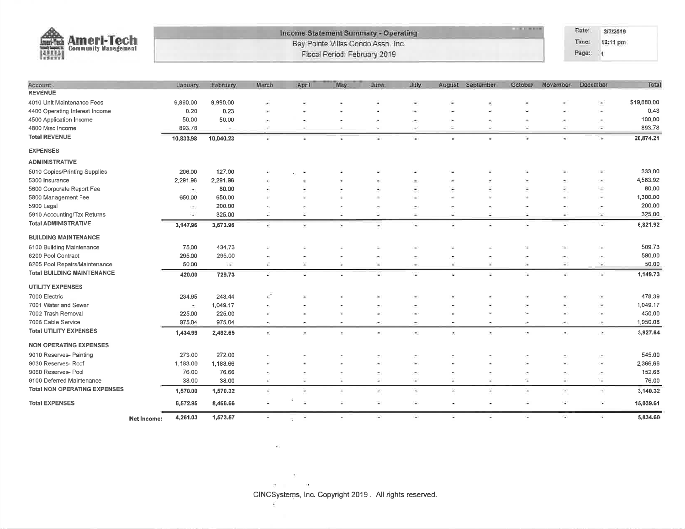| <b>Lustri Tech</b><br>and financial<br>開開 | <b>Income Statement Summary - Operating</b><br><b>Ameri-Tech</b><br>Bay Pointe Villas Condo Assn. Inc.<br><b>Community Management</b><br>Fiscal Period: February 2019 |                          |           |           |        |      |                          |                          | Date:<br>Time:<br>Page: | 3/7/2019<br>12:11 pm<br>$\mathbf{A}$ |          |                       |                 |                                      |             |
|-------------------------------------------|-----------------------------------------------------------------------------------------------------------------------------------------------------------------------|--------------------------|-----------|-----------|--------|------|--------------------------|--------------------------|-------------------------|--------------------------------------|----------|-----------------------|-----------------|--------------------------------------|-------------|
| Account                                   |                                                                                                                                                                       | <b>January</b>           | Fobruary  | March     | April  | May. | June                     | July                     |                         | August September                     | October. | November              | <b>December</b> |                                      | Total       |
| <b>REVENUE</b>                            |                                                                                                                                                                       |                          |           |           |        |      |                          |                          |                         |                                      |          |                       |                 |                                      |             |
| 4010 Unit Maintenance Fees                |                                                                                                                                                                       | 9,890.00                 | 9,990.00  |           |        |      |                          |                          |                         |                                      |          |                       |                 | $\overline{\phantom{a}}$             | \$19,880.00 |
| 4400 Operating Interest Income            |                                                                                                                                                                       | 0.20                     | 0.23      |           |        |      |                          | $\rightarrow$            |                         |                                      |          |                       |                 | ٠                                    | 0.43        |
| 4500 Application Income                   |                                                                                                                                                                       | 50,00                    | 50,00     |           |        |      | ٠                        | ÷,                       |                         |                                      |          |                       |                 | ×                                    | 100,00      |
| 4800 Misc Income                          |                                                                                                                                                                       | 893.78                   | ٠         |           |        |      |                          | ⋍                        | ÷                       | ÷                                    |          |                       |                 | ٠                                    | 893.78      |
| <b>Total REVENUE</b>                      |                                                                                                                                                                       | 10,833.98                | 10,040.23 | ٠         |        |      |                          | ٠                        |                         |                                      |          |                       |                 | ×                                    | 20,874.21   |
| <b>EXPENSES</b>                           |                                                                                                                                                                       |                          |           |           |        |      |                          |                          |                         |                                      |          |                       |                 |                                      |             |
| <b>ADMINISTRATIVE</b>                     |                                                                                                                                                                       |                          |           |           |        |      |                          |                          |                         |                                      |          |                       |                 |                                      |             |
| 5010 Copies/Printing Supplies             |                                                                                                                                                                       | 206.00                   | 127.00    |           |        |      |                          |                          |                         |                                      |          |                       |                 |                                      | 333,00      |
| 5300 Insurance                            |                                                                                                                                                                       | 2,291.96                 | 2,291.96  |           |        |      |                          |                          |                         |                                      |          |                       |                 |                                      | 4,583.92    |
| 5600 Corporate Report Fee                 |                                                                                                                                                                       | $\overline{\phantom{a}}$ | 80.00     |           |        |      |                          |                          |                         |                                      |          |                       |                 | ۷                                    | 80.00       |
| 5800 Management Fee                       |                                                                                                                                                                       | 650.00                   | 650.00    |           |        |      |                          | Ŵ                        |                         |                                      |          |                       |                 | ۰                                    | 1,300.00    |
| 5900 Legal                                |                                                                                                                                                                       |                          | 200.00    |           |        |      |                          | ۰                        |                         |                                      |          |                       |                 | $\overline{\phantom{a}}$             | 200.00      |
| 5910 Accounting/Tax Returns               |                                                                                                                                                                       | $\overline{a}$           | 325.00    | ¥         | ×      | ¥    | $\overline{\phantom{a}}$ | $\overline{\phantom{a}}$ | ×.                      | $\ddot{}$                            |          | ۰                     |                 | Ξ                                    | 325,00      |
| <b>Total ADMINISTRATIVE</b>               |                                                                                                                                                                       | 3,147,96                 | 3,673.96  | S         | Ξ      | ä,   | $\bullet$                | ٠                        | a                       | ÷                                    |          | ×                     |                 | u,                                   | 6,821.92    |
| <b>BUILDING MAINTENANCE</b>               |                                                                                                                                                                       |                          |           |           |        |      |                          |                          |                         |                                      |          |                       |                 |                                      |             |
| 6100 Building Maintenance                 |                                                                                                                                                                       | 75.00                    | 434.73    |           |        |      |                          |                          |                         |                                      |          |                       |                 |                                      | 509.73      |
| 6200 Pool Contract                        |                                                                                                                                                                       | 295.00                   | 295.00    |           |        |      | ×                        | ٠                        | F.                      | ÷,                                   |          | ×,                    |                 | ×,                                   | 590.00      |
| 6205 Pool Repairs/Maintenance             |                                                                                                                                                                       | 50.00                    | Ù.        | ¥.        | 嵩      | ۰.   | $\rightarrow$            | $\overline{\phantom{a}}$ | $\sim$                  | 富                                    | 灢        | 59                    |                 | ÷                                    | 50.00       |
| <b>Total BUILDING MAINTENANCE</b>         |                                                                                                                                                                       | 420.00                   | 729.73    | ۷         |        |      |                          |                          | c                       |                                      |          | ¥.                    |                 | c                                    | 1,149.73    |
| <b>UTILITY EXPENSES</b>                   |                                                                                                                                                                       |                          |           |           |        |      |                          |                          |                         |                                      |          |                       |                 |                                      |             |
| 7000 Electric                             |                                                                                                                                                                       | 234.95                   | 243,44    |           |        |      |                          |                          |                         |                                      |          |                       |                 |                                      | 478.39      |
| 7001 Water and Sewer                      |                                                                                                                                                                       | $\overline{\phantom{a}}$ | 1,049.17  |           |        |      |                          |                          |                         |                                      |          |                       |                 |                                      | 1,049.17    |
| 7002 Trash Removal                        |                                                                                                                                                                       | 225.00                   | 225.00    |           |        |      |                          | $\sim$                   |                         |                                      |          |                       |                 | ٠                                    | 450,00      |
| 7006 Cable Service                        |                                                                                                                                                                       | 975.04                   | 975.04    | $\bullet$ |        |      |                          | ۰                        | ٠                       |                                      |          | ×                     |                 | ×                                    | 1,950.08    |
| <b>Total UTILITY EXPENSES</b>             |                                                                                                                                                                       | 1,434.99                 | 2,492.65  | ÷         | $\sim$ | С.   | $\blacksquare$           | $\bullet$                | ¥.                      | $\bullet$                            | ٠        | $\bullet$             |                 | $\left\vert \mathbf{r}\right\rangle$ | 3,927.64    |
| <b>NON OPERATING EXPENSES</b>             |                                                                                                                                                                       |                          |           |           |        |      |                          |                          |                         |                                      |          |                       |                 |                                      |             |
| 9010 Reserves- Painting                   |                                                                                                                                                                       | 273,00                   | 272,00    |           |        |      |                          |                          |                         |                                      |          |                       |                 |                                      | 545.00      |
| 9030 Reserves- Roof                       |                                                                                                                                                                       | 1,183.00                 | 1,183.66  |           |        |      |                          |                          |                         |                                      |          |                       |                 | ×,                                   | 2,366.66    |
| 9060 Reserves Pool                        |                                                                                                                                                                       | 76.00                    | 76.66     |           |        |      |                          |                          |                         |                                      |          |                       |                 | ÷                                    | 152.66      |
| 9100 Deferred Maintenance                 |                                                                                                                                                                       | 38,00                    | 38.00     | ×         |        | u    | ÷                        | i.                       | ×                       | ×                                    | s        | $\sim$                |                 | ٠                                    | 76.00       |
| <b>Total NON OPERATING EXPENSES</b>       |                                                                                                                                                                       | 1,570.00                 | 1,570.32  | ×         | ٠      |      | $\overline{\phantom{a}}$ | ÷                        | ×                       | ٠                                    |          | $\tilde{\phantom{a}}$ |                 | ÷.                                   | 3,140.32    |
| <b>Total EXPENSES</b>                     |                                                                                                                                                                       | 6,572.95                 | 8,466.66  | ÷.        |        |      | $\mathbf{u}$             | $\sim$                   | ¥.                      | ×                                    | ÷        | ×                     |                 | $\sim$                               | 15,039.61   |
|                                           | <b>Net Income:</b>                                                                                                                                                    | 4,261.03                 | 1,573.57  | ÷.        | ÷.     | i.   | œ.                       | œ.                       | ×                       | ٠                                    | ۰.       | C.                    |                 | n.                                   | 5,834.60    |

CINCSystems, Inc. Copyright 2019. All rights reserved.

 $\mathcal{R}$